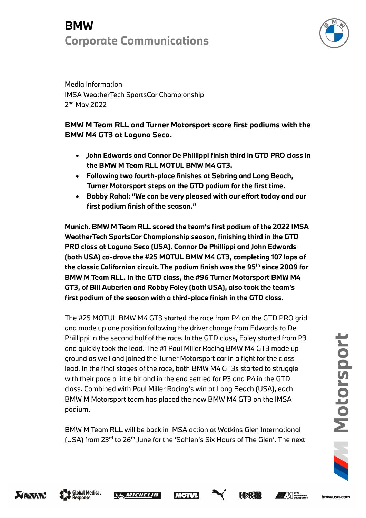## **BMW Corporate Communications**



Media Information IMSA WeatherTech SportsCar Championship 2<sup>nd</sup> May 2022

### **BMW M Team RLL and Turner Motorsport score first podiums with the BMW M4 GT3 at Laguna Seca.**

- **John Edwards and Connor De Phillippi finish third in GTD PRO class in the BMW M Team RLL MOTUL BMW M4 GT3.**
- **Following two fourth-place finishes at Sebring and Long Beach, Turner Motorsport steps on the GTD podium for the first time.**
- **Bobby Rahal: "We can be very pleased with our effort today and our first podium finish of the season."**

**Munich. BMW M Team RLL scored the team's first podium of the 2022 IMSA WeatherTech SportsCar Championship season, finishing third in the GTD PRO class at Laguna Seca (USA). Connor De Phillippi and John Edwards (both USA) co-drove the #25 MOTUL BMW M4 GT3, completing 107 laps of the classic Californian circuit. The podium finish was the 95th since 2009 for BMW M Team RLL. In the GTD class, the #96 Turner Motorsport BMW M4 GT3, of Bill Auberlen and Robby Foley (both USA), also took the team's first podium of the season with a third-place finish in the GTD class.**

The #25 MOTUL BMW M4 GT3 started the race from P4 on the GTD PRO grid and made up one position following the driver change from Edwards to De Phillippi in the second half of the race. In the GTD class, Foley started from P3 and quickly took the lead. The #1 Paul Miller Racing BMW M4 GT3 made up ground as well and joined the Turner Motorsport car in a fight for the class lead. In the final stages of the race, both BMW M4 GT3s started to struggle with their pace a little bit and in the end settled for P3 and P4 in the GTD class. Combined with Paul Miller Racing's win at Long Beach (USA), each BMW M Motorsport team has placed the new BMW M4 GT3 on the IMSA podium.

BMW M Team RLL will be back in IMSA action at Watkins Glen International (USA) from  $23^{rd}$  to  $26^{th}$  June for the 'Sahlen's Six Hours of The Glen'. The next







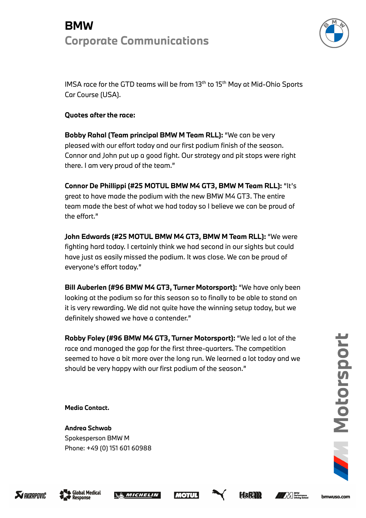## **BMW Corporate Communications**



IMSA race for the GTD teams will be from 13<sup>th</sup> to 15<sup>th</sup> May at Mid-Ohio Sports Car Course (USA).

### **Quotes after the race:**

**Bobby Rahal (Team principal BMW M Team RLL):** "We can be very pleased with our effort today and our first podium finish of the season. Connor and John put up a good fight. Our strategy and pit stops were right there. I am very proud of the team."

**Connor De Phillippi (#25 MOTUL BMW M4 GT3, BMW M Team RLL):** "It's great to have made the podium with the new BMW M4 GT3. The entire team made the best of what we had today so I believe we can be proud of the effort."

**John Edwards (#25 MOTUL BMW M4 GT3, BMW M Team RLL):** "We were fighting hard today. I certainly think we had second in our sights but could have just as easily missed the podium. It was close. We can be proud of everyone's effort today."

**Bill Auberlen (#96 BMW M4 GT3, Turner Motorsport):** "We have only been looking at the podium so far this season so to finally to be able to stand on it is very rewarding. We did not quite have the winning setup today, but we definitely showed we have a contender."

**Robby Foley (#96 BMW M4 GT3, Turner Motorsport):** "We led a lot of the race and managed the gap for the first three-quarters. The competition seemed to have a bit more over the long run. We learned a lot today and we should be very happy with our first podium of the season."

**Media Contact.**

**Andrea Schwab**  Spokesperson BMW M Phone: +49 (0) 151 601 60988 **7 Motorsport**